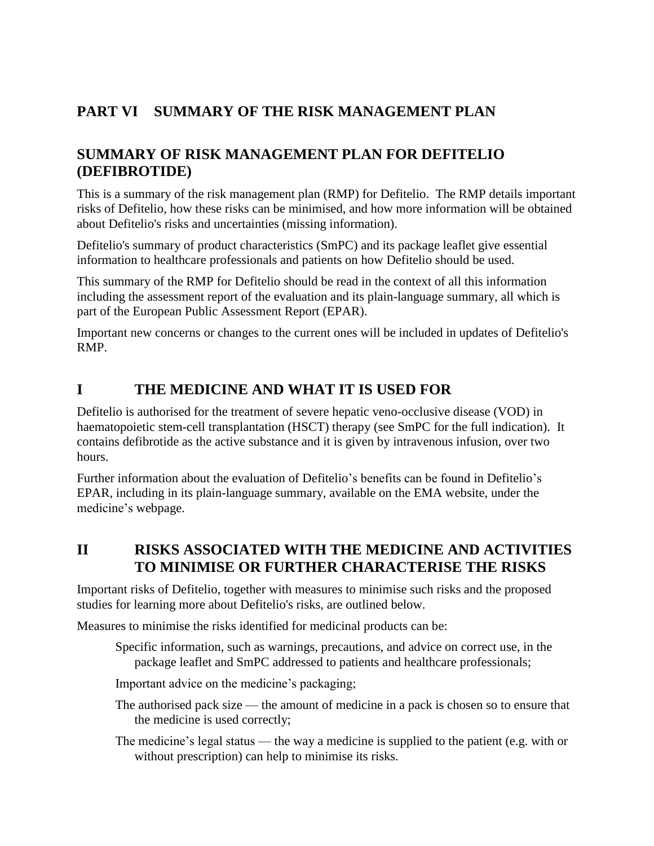# **PART VI SUMMARY OF THE RISK MANAGEMENT PLAN**

# **SUMMARY OF RISK MANAGEMENT PLAN FOR DEFITELIO (DEFIBROTIDE)**

This is a summary of the risk management plan (RMP) for Defitelio. The RMP details important risks of Defitelio, how these risks can be minimised, and how more information will be obtained about Defitelio's risks and uncertainties (missing information).

Defitelio's summary of product characteristics (SmPC) and its package leaflet give essential information to healthcare professionals and patients on how Defitelio should be used.

This summary of the RMP for Defitelio should be read in the context of all this information including the assessment report of the evaluation and its plain-language summary, all which is part of the European Public Assessment Report (EPAR).

Important new concerns or changes to the current ones will be included in updates of Defitelio's RMP.

## **I THE MEDICINE AND WHAT IT IS USED FOR**

Defitelio is authorised for the treatment of severe hepatic veno-occlusive disease (VOD) in haematopoietic stem-cell transplantation (HSCT) therapy (see SmPC for the full indication). It contains defibrotide as the active substance and it is given by intravenous infusion, over two hours.

Further information about the evaluation of Defitelio's benefits can be found in Defitelio's EPAR, including in its plain-language summary, available on the EMA website, under the medicine's [webpage.](https://www.ema.europa.eu/en/medicines/human/EPAR/defitelio)

## **II RISKS ASSOCIATED WITH THE MEDICINE AND ACTIVITIES TO MINIMISE OR FURTHER CHARACTERISE THE RISKS**

Important risks of Defitelio, together with measures to minimise such risks and the proposed studies for learning more about Defitelio's risks, are outlined below.

Measures to minimise the risks identified for medicinal products can be:

Specific information, such as warnings, precautions, and advice on correct use, in the package leaflet and SmPC addressed to patients and healthcare professionals;

Important advice on the medicine's packaging;

- The authorised pack size the amount of medicine in a pack is chosen so to ensure that the medicine is used correctly;
- The medicine's legal status the way a medicine is supplied to the patient (e.g. with or without prescription) can help to minimise its risks.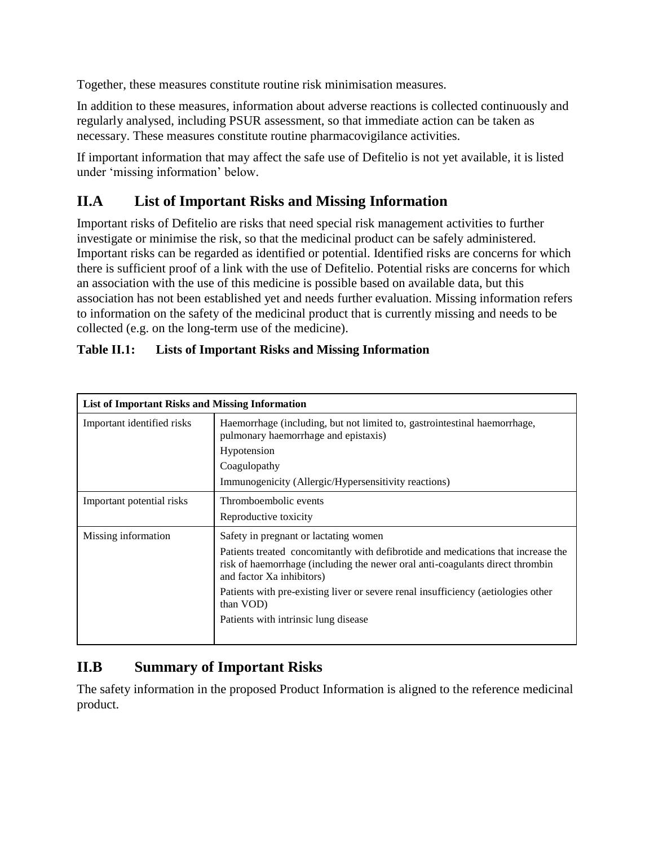Together, these measures constitute routine risk minimisation measures.

In addition to these measures, information about adverse reactions is collected continuously and regularly analysed, including PSUR assessment, so that immediate action can be taken as necessary. These measures constitute routine pharmacovigilance activities.

If important information that may affect the safe use of Defitelio is not yet available, it is listed under 'missing information' below.

# **II.A List of Important Risks and Missing Information**

Important risks of Defitelio are risks that need special risk management activities to further investigate or minimise the risk, so that the medicinal product can be safely administered. Important risks can be regarded as identified or potential. Identified risks are concerns for which there is sufficient proof of a link with the use of Defitelio. Potential risks are concerns for which an association with the use of this medicine is possible based on available data, but this association has not been established yet and needs further evaluation. Missing information refers to information on the safety of the medicinal product that is currently missing and needs to be collected (e.g. on the long-term use of the medicine).

| <b>List of Important Risks and Missing Information</b> |                                                                                                                                                                                                 |
|--------------------------------------------------------|-------------------------------------------------------------------------------------------------------------------------------------------------------------------------------------------------|
| Important identified risks                             | Haemorrhage (including, but not limited to, gastrointestinal haemorrhage,<br>pulmonary haemorrhage and epistaxis)                                                                               |
|                                                        | Hypotension                                                                                                                                                                                     |
|                                                        | Coagulopathy                                                                                                                                                                                    |
|                                                        | Immunogenicity (Allergic/Hypersensitivity reactions)                                                                                                                                            |
| Important potential risks                              | Thromboembolic events                                                                                                                                                                           |
|                                                        | Reproductive toxicity                                                                                                                                                                           |
| Missing information                                    | Safety in pregnant or lactating women                                                                                                                                                           |
|                                                        | Patients treated concomitantly with defibrotide and medications that increase the<br>risk of haemorrhage (including the newer oral anti-coagulants direct thrombin<br>and factor Xa inhibitors) |
|                                                        | Patients with pre-existing liver or severe renal insufficiency (aetiologies other<br>than VOD)                                                                                                  |
|                                                        | Patients with intrinsic lung disease                                                                                                                                                            |

## **Table II.1: Lists of Important Risks and Missing Information**

# **II.B Summary of Important Risks**

The safety information in the proposed Product Information is aligned to the reference medicinal product.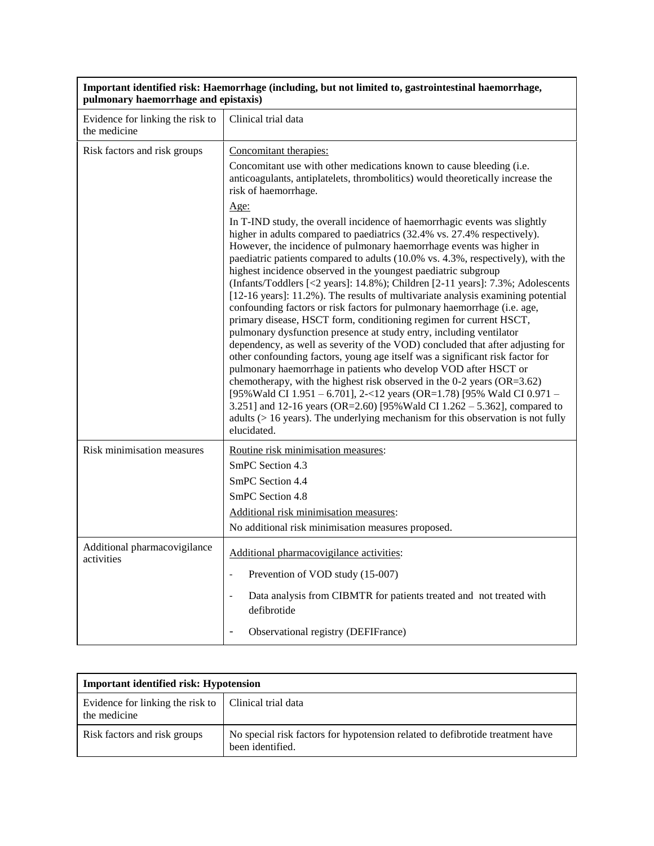| Important identified risk: Haemorrhage (including, but not limited to, gastrointestinal haemorrhage,<br>pulmonary haemorrhage and epistaxis) |                                                                                                                                                                                                                                                                                                                                                                                                                                                                                                                                                                                                                                                                                                                                                                                                                                                                                                                                                                                                                                                                                                                                                                                                                                                                                                                                                                  |
|----------------------------------------------------------------------------------------------------------------------------------------------|------------------------------------------------------------------------------------------------------------------------------------------------------------------------------------------------------------------------------------------------------------------------------------------------------------------------------------------------------------------------------------------------------------------------------------------------------------------------------------------------------------------------------------------------------------------------------------------------------------------------------------------------------------------------------------------------------------------------------------------------------------------------------------------------------------------------------------------------------------------------------------------------------------------------------------------------------------------------------------------------------------------------------------------------------------------------------------------------------------------------------------------------------------------------------------------------------------------------------------------------------------------------------------------------------------------------------------------------------------------|
| Evidence for linking the risk to<br>the medicine                                                                                             | Clinical trial data                                                                                                                                                                                                                                                                                                                                                                                                                                                                                                                                                                                                                                                                                                                                                                                                                                                                                                                                                                                                                                                                                                                                                                                                                                                                                                                                              |
| Risk factors and risk groups                                                                                                                 | Concomitant therapies:                                                                                                                                                                                                                                                                                                                                                                                                                                                                                                                                                                                                                                                                                                                                                                                                                                                                                                                                                                                                                                                                                                                                                                                                                                                                                                                                           |
|                                                                                                                                              | Concomitant use with other medications known to cause bleeding (i.e.<br>anticoagulants, antiplatelets, thrombolitics) would theoretically increase the<br>risk of haemorrhage.                                                                                                                                                                                                                                                                                                                                                                                                                                                                                                                                                                                                                                                                                                                                                                                                                                                                                                                                                                                                                                                                                                                                                                                   |
|                                                                                                                                              | <u>Age:</u>                                                                                                                                                                                                                                                                                                                                                                                                                                                                                                                                                                                                                                                                                                                                                                                                                                                                                                                                                                                                                                                                                                                                                                                                                                                                                                                                                      |
|                                                                                                                                              | In T-IND study, the overall incidence of haemorrhagic events was slightly<br>higher in adults compared to paediatrics (32.4% vs. 27.4% respectively).<br>However, the incidence of pulmonary haemorrhage events was higher in<br>paediatric patients compared to adults (10.0% vs. 4.3%, respectively), with the<br>highest incidence observed in the youngest paediatric subgroup<br>(Infants/Toddlers [<2 years]: 14.8%); Children [2-11 years]: 7.3%; Adolescents<br>[12-16 years]: 11.2%). The results of multivariate analysis examining potential<br>confounding factors or risk factors for pulmonary haemorrhage (i.e. age,<br>primary disease, HSCT form, conditioning regimen for current HSCT,<br>pulmonary dysfunction presence at study entry, including ventilator<br>dependency, as well as severity of the VOD) concluded that after adjusting for<br>other confounding factors, young age itself was a significant risk factor for<br>pulmonary haemorrhage in patients who develop VOD after HSCT or<br>chemotherapy, with the highest risk observed in the $0-2$ years (OR=3.62)<br>[95% Wald CI 1.951 - 6.701], 2-<12 years (OR=1.78) [95% Wald CI 0.971 -<br>3.251] and 12-16 years (OR=2.60) [95% Wald CI 1.262 - 5.362], compared to<br>adults ( $> 16$ years). The underlying mechanism for this observation is not fully<br>elucidated. |
| Risk minimisation measures                                                                                                                   | Routine risk minimisation measures:                                                                                                                                                                                                                                                                                                                                                                                                                                                                                                                                                                                                                                                                                                                                                                                                                                                                                                                                                                                                                                                                                                                                                                                                                                                                                                                              |
|                                                                                                                                              | SmPC Section 4.3                                                                                                                                                                                                                                                                                                                                                                                                                                                                                                                                                                                                                                                                                                                                                                                                                                                                                                                                                                                                                                                                                                                                                                                                                                                                                                                                                 |
|                                                                                                                                              | SmPC Section 4.4                                                                                                                                                                                                                                                                                                                                                                                                                                                                                                                                                                                                                                                                                                                                                                                                                                                                                                                                                                                                                                                                                                                                                                                                                                                                                                                                                 |
|                                                                                                                                              | SmPC Section 4.8                                                                                                                                                                                                                                                                                                                                                                                                                                                                                                                                                                                                                                                                                                                                                                                                                                                                                                                                                                                                                                                                                                                                                                                                                                                                                                                                                 |
|                                                                                                                                              | Additional risk minimisation measures:                                                                                                                                                                                                                                                                                                                                                                                                                                                                                                                                                                                                                                                                                                                                                                                                                                                                                                                                                                                                                                                                                                                                                                                                                                                                                                                           |
|                                                                                                                                              | No additional risk minimisation measures proposed.                                                                                                                                                                                                                                                                                                                                                                                                                                                                                                                                                                                                                                                                                                                                                                                                                                                                                                                                                                                                                                                                                                                                                                                                                                                                                                               |
| Additional pharmacovigilance<br>activities                                                                                                   | Additional pharmacovigilance activities:                                                                                                                                                                                                                                                                                                                                                                                                                                                                                                                                                                                                                                                                                                                                                                                                                                                                                                                                                                                                                                                                                                                                                                                                                                                                                                                         |
|                                                                                                                                              | Prevention of VOD study (15-007)<br>$\sim$                                                                                                                                                                                                                                                                                                                                                                                                                                                                                                                                                                                                                                                                                                                                                                                                                                                                                                                                                                                                                                                                                                                                                                                                                                                                                                                       |
|                                                                                                                                              | Data analysis from CIBMTR for patients treated and not treated with<br>defibrotide                                                                                                                                                                                                                                                                                                                                                                                                                                                                                                                                                                                                                                                                                                                                                                                                                                                                                                                                                                                                                                                                                                                                                                                                                                                                               |
|                                                                                                                                              | Observational registry (DEFIFrance)                                                                                                                                                                                                                                                                                                                                                                                                                                                                                                                                                                                                                                                                                                                                                                                                                                                                                                                                                                                                                                                                                                                                                                                                                                                                                                                              |

٦

| <b>Important identified risk: Hypotension</b>    |                                                                                                   |
|--------------------------------------------------|---------------------------------------------------------------------------------------------------|
| Evidence for linking the risk to<br>the medicine | Clinical trial data                                                                               |
| Risk factors and risk groups                     | No special risk factors for hypotension related to defibrotide treatment have<br>been identified. |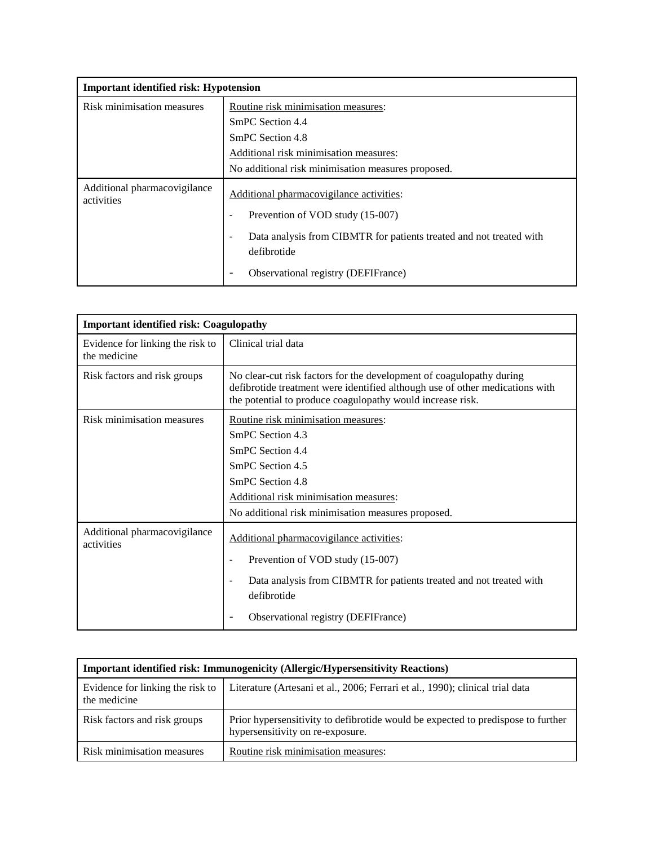| <b>Important identified risk: Hypotension</b> |                                                                                    |
|-----------------------------------------------|------------------------------------------------------------------------------------|
| Risk minimisation measures                    | Routine risk minimisation measures:                                                |
|                                               | SmPC Section 4.4                                                                   |
|                                               | SmPC Section 4.8                                                                   |
|                                               | Additional risk minimisation measures:                                             |
|                                               | No additional risk minimisation measures proposed.                                 |
| Additional pharmacovigilance<br>activities    | Additional pharmacovigilance activities:                                           |
|                                               | Prevention of VOD study (15-007)                                                   |
|                                               | Data analysis from CIBMTR for patients treated and not treated with<br>defibrotide |
|                                               | Observational registry (DEFIFrance)<br>$\qquad \qquad \blacksquare$                |

| <b>Important identified risk: Coagulopathy</b>   |                                                                                                                                                                                                                     |
|--------------------------------------------------|---------------------------------------------------------------------------------------------------------------------------------------------------------------------------------------------------------------------|
| Evidence for linking the risk to<br>the medicine | Clinical trial data                                                                                                                                                                                                 |
| Risk factors and risk groups                     | No clear-cut risk factors for the development of coagulopathy during<br>defibrotide treatment were identified although use of other medications with<br>the potential to produce coagulopathy would increase risk.  |
| Risk minimisation measures                       | Routine risk minimisation measures:<br>SmPC Section 4.3<br>SmPC Section 4.4<br>SmPC Section 4.5<br>SmPC Section 4.8<br>Additional risk minimisation measures:<br>No additional risk minimisation measures proposed. |
| Additional pharmacovigilance<br>activities       | Additional pharmacovigilance activities:<br>Prevention of VOD study (15-007)<br>Data analysis from CIBMTR for patients treated and not treated with<br>defibrotide<br>Observational registry (DEFIFrance)           |

| <b>Important identified risk: Immunogenicity (Allergic/Hypersensitivity Reactions)</b> |                                                                                                                      |
|----------------------------------------------------------------------------------------|----------------------------------------------------------------------------------------------------------------------|
| Evidence for linking the risk to<br>the medicine                                       | Literature (Artesani et al., 2006; Ferrari et al., 1990); clinical trial data                                        |
| Risk factors and risk groups                                                           | Prior hypersensitivity to defibrotide would be expected to predispose to further<br>hypersensitivity on re-exposure. |
| Risk minimisation measures                                                             | Routine risk minimisation measures:                                                                                  |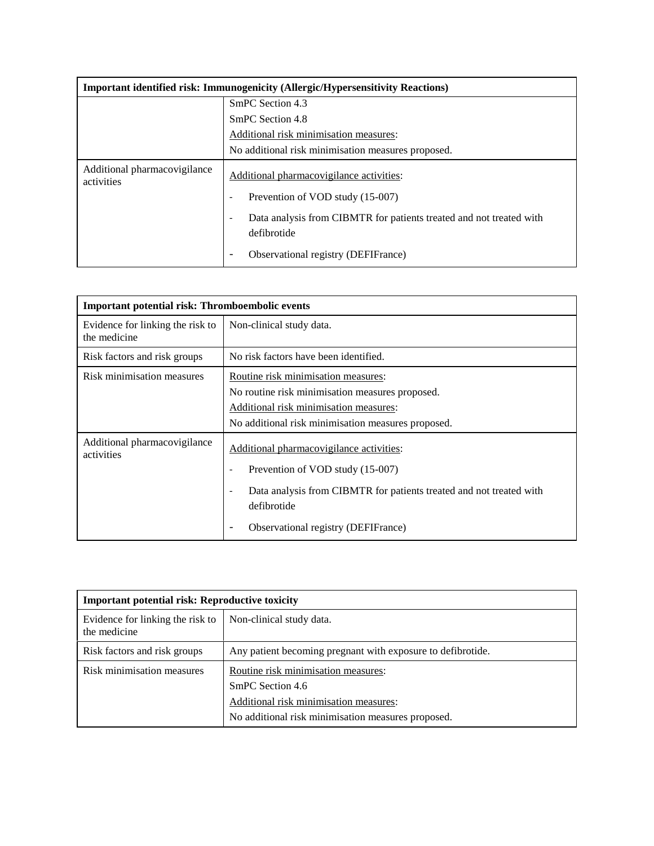| <b>Important identified risk: Immunogenicity (Allergic/Hypersensitivity Reactions)</b> |                                                                                                                |
|----------------------------------------------------------------------------------------|----------------------------------------------------------------------------------------------------------------|
|                                                                                        | SmPC Section 4.3                                                                                               |
|                                                                                        | SmPC Section 4.8                                                                                               |
|                                                                                        | Additional risk minimisation measures:                                                                         |
|                                                                                        | No additional risk minimisation measures proposed.                                                             |
| Additional pharmacovigilance<br>activities                                             | Additional pharmacovigilance activities:                                                                       |
|                                                                                        | Prevention of VOD study (15-007)                                                                               |
|                                                                                        | Data analysis from CIBMTR for patients treated and not treated with<br>$\overline{\phantom{a}}$<br>defibrotide |
|                                                                                        | Observational registry (DEFIFrance)                                                                            |

| Important potential risk: Thromboembolic events  |                                                                                                                                                                                                                  |
|--------------------------------------------------|------------------------------------------------------------------------------------------------------------------------------------------------------------------------------------------------------------------|
| Evidence for linking the risk to<br>the medicine | Non-clinical study data.                                                                                                                                                                                         |
| Risk factors and risk groups                     | No risk factors have been identified.                                                                                                                                                                            |
| Risk minimisation measures                       | Routine risk minimisation measures:<br>No routine risk minimisation measures proposed.<br>Additional risk minimisation measures:<br>No additional risk minimisation measures proposed.                           |
| Additional pharmacovigilance<br>activities       | Additional pharmacovigilance activities:<br>Prevention of VOD study (15-007)<br>Data analysis from CIBMTR for patients treated and not treated with<br>defibrotide<br><b>Observational registry (DEFIFrance)</b> |

| <b>Important potential risk: Reproductive toxicity</b> |                                                                                                                                                         |
|--------------------------------------------------------|---------------------------------------------------------------------------------------------------------------------------------------------------------|
| Evidence for linking the risk to<br>the medicine       | Non-clinical study data.                                                                                                                                |
| Risk factors and risk groups                           | Any patient becoming pregnant with exposure to defibrotide.                                                                                             |
| Risk minimisation measures                             | Routine risk minimisation measures:<br>SmPC Section 4.6<br>Additional risk minimisation measures:<br>No additional risk minimisation measures proposed. |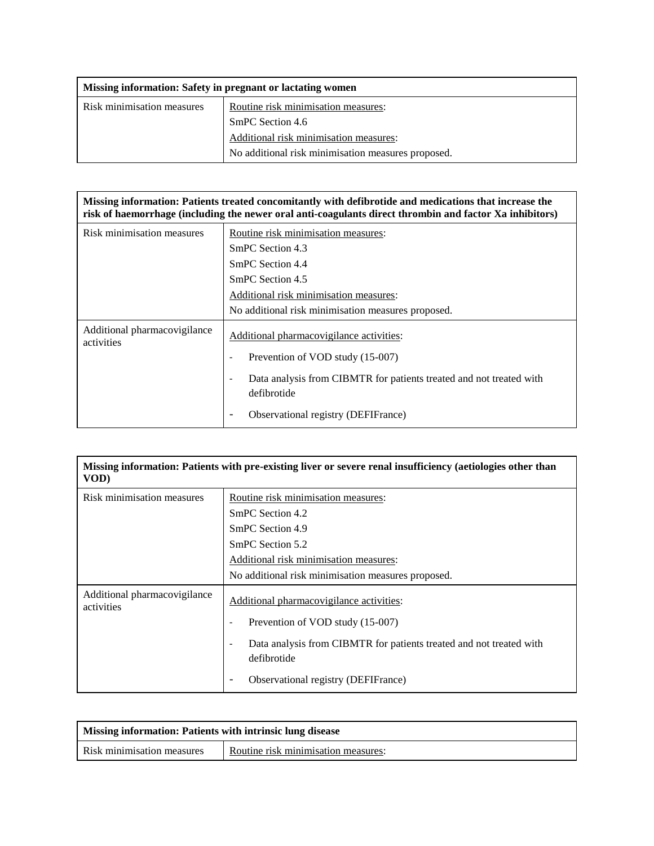| Missing information: Safety in pregnant or lactating women |                                                    |
|------------------------------------------------------------|----------------------------------------------------|
| Risk minimisation measures                                 | Routine risk minimisation measures:                |
|                                                            | SmPC Section 4.6                                   |
|                                                            | Additional risk minimisation measures:             |
|                                                            | No additional risk minimisation measures proposed. |

**Missing information: Patients treated concomitantly with defibrotide and medications that increase the risk of haemorrhage (including the newer oral anti-coagulants direct thrombin and factor Xa inhibitors)**

| Risk minimisation measures                 | Routine risk minimisation measures:                                                                            |
|--------------------------------------------|----------------------------------------------------------------------------------------------------------------|
|                                            | SmPC Section 4.3                                                                                               |
|                                            | SmPC Section 4.4                                                                                               |
|                                            | SmPC Section 4.5                                                                                               |
|                                            | Additional risk minimisation measures:                                                                         |
|                                            | No additional risk minimisation measures proposed.                                                             |
| Additional pharmacovigilance<br>activities | Additional pharmacovigilance activities:                                                                       |
|                                            | Prevention of VOD study (15-007)                                                                               |
|                                            | Data analysis from CIBMTR for patients treated and not treated with<br>$\overline{\phantom{a}}$<br>defibrotide |
|                                            | Observational registry (DEFIFrance)                                                                            |

| Missing information: Patients with pre-existing liver or severe renal insufficiency (aetiologies other than<br>VOD) |                                                                                    |
|---------------------------------------------------------------------------------------------------------------------|------------------------------------------------------------------------------------|
| Risk minimisation measures                                                                                          | Routine risk minimisation measures:<br>SmPC Section 4.2                            |
|                                                                                                                     | SmPC Section 4.9                                                                   |
|                                                                                                                     | SmPC Section 5.2<br>Additional risk minimisation measures:                         |
|                                                                                                                     | No additional risk minimisation measures proposed.                                 |
| Additional pharmacovigilance<br>activities                                                                          | Additional pharmacovigilance activities:                                           |
|                                                                                                                     | Prevention of VOD study (15-007)                                                   |
|                                                                                                                     | Data analysis from CIBMTR for patients treated and not treated with<br>defibrotide |
|                                                                                                                     | Observational registry (DEFIFrance)                                                |

| Missing information: Patients with intrinsic lung disease |                                     |
|-----------------------------------------------------------|-------------------------------------|
| Risk minimisation measures                                | Routine risk minimisation measures: |